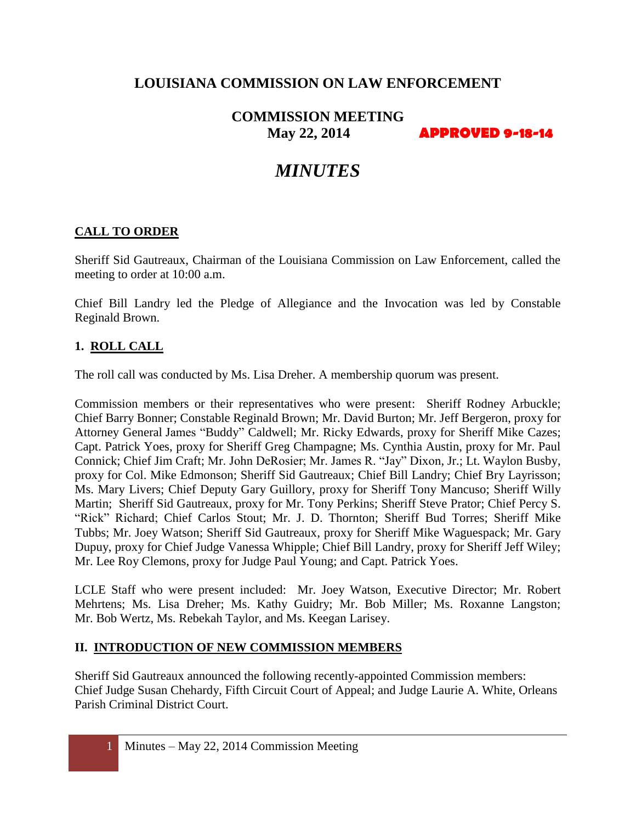# **LOUISIANA COMMISSION ON LAW ENFORCEMENT**

# **COMMISSION MEETING May 22, 2014 APPROVED 9-18-14**

# *MINUTES*

#### **CALL TO ORDER**

Sheriff Sid Gautreaux, Chairman of the Louisiana Commission on Law Enforcement, called the meeting to order at 10:00 a.m.

Chief Bill Landry led the Pledge of Allegiance and the Invocation was led by Constable Reginald Brown.

#### **1. ROLL CALL**

The roll call was conducted by Ms. Lisa Dreher. A membership quorum was present.

Commission members or their representatives who were present: Sheriff Rodney Arbuckle; Chief Barry Bonner; Constable Reginald Brown; Mr. David Burton; Mr. Jeff Bergeron, proxy for Attorney General James "Buddy" Caldwell; Mr. Ricky Edwards, proxy for Sheriff Mike Cazes; Capt. Patrick Yoes, proxy for Sheriff Greg Champagne; Ms. Cynthia Austin, proxy for Mr. Paul Connick; Chief Jim Craft; Mr. John DeRosier; Mr. James R. "Jay" Dixon, Jr.; Lt. Waylon Busby, proxy for Col. Mike Edmonson; Sheriff Sid Gautreaux; Chief Bill Landry; Chief Bry Layrisson; Ms. Mary Livers; Chief Deputy Gary Guillory, proxy for Sheriff Tony Mancuso; Sheriff Willy Martin; Sheriff Sid Gautreaux, proxy for Mr. Tony Perkins; Sheriff Steve Prator; Chief Percy S. "Rick" Richard; Chief Carlos Stout; Mr. J. D. Thornton; Sheriff Bud Torres; Sheriff Mike Tubbs; Mr. Joey Watson; Sheriff Sid Gautreaux, proxy for Sheriff Mike Waguespack; Mr. Gary Dupuy, proxy for Chief Judge Vanessa Whipple; Chief Bill Landry, proxy for Sheriff Jeff Wiley; Mr. Lee Roy Clemons, proxy for Judge Paul Young; and Capt. Patrick Yoes.

LCLE Staff who were present included: Mr. Joey Watson, Executive Director; Mr. Robert Mehrtens; Ms. Lisa Dreher; Ms. Kathy Guidry; Mr. Bob Miller; Ms. Roxanne Langston; Mr. Bob Wertz, Ms. Rebekah Taylor, and Ms. Keegan Larisey.

#### **II. INTRODUCTION OF NEW COMMISSION MEMBERS**

Sheriff Sid Gautreaux announced the following recently-appointed Commission members: Chief Judge Susan Chehardy, Fifth Circuit Court of Appeal; and Judge Laurie A. White, Orleans Parish Criminal District Court.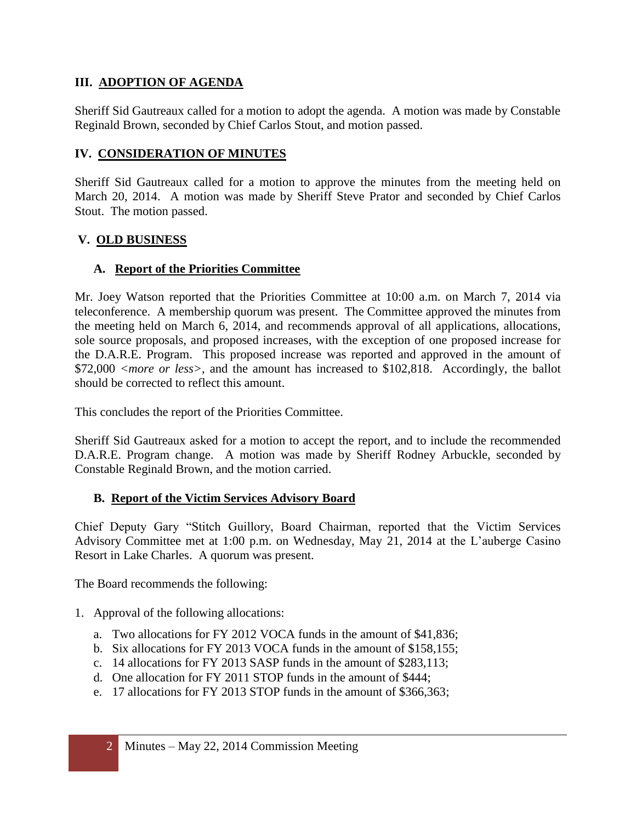#### **III. ADOPTION OF AGENDA**

Sheriff Sid Gautreaux called for a motion to adopt the agenda. A motion was made by Constable Reginald Brown, seconded by Chief Carlos Stout, and motion passed.

#### **IV. CONSIDERATION OF MINUTES**

Sheriff Sid Gautreaux called for a motion to approve the minutes from the meeting held on March 20, 2014. A motion was made by Sheriff Steve Prator and seconded by Chief Carlos Stout. The motion passed.

#### **V. OLD BUSINESS**

#### **A. Report of the Priorities Committee**

Mr. Joey Watson reported that the Priorities Committee at 10:00 a.m. on March 7, 2014 via teleconference. A membership quorum was present. The Committee approved the minutes from the meeting held on March 6, 2014, and recommends approval of all applications, allocations, sole source proposals, and proposed increases, with the exception of one proposed increase for the D.A.R.E. Program. This proposed increase was reported and approved in the amount of \$72,000 *<more or less>*, and the amount has increased to \$102,818. Accordingly, the ballot should be corrected to reflect this amount.

This concludes the report of the Priorities Committee.

Sheriff Sid Gautreaux asked for a motion to accept the report, and to include the recommended D.A.R.E. Program change. A motion was made by Sheriff Rodney Arbuckle, seconded by Constable Reginald Brown, and the motion carried.

#### **B. Report of the Victim Services Advisory Board**

Chief Deputy Gary "Stitch Guillory, Board Chairman, reported that the Victim Services Advisory Committee met at 1:00 p.m. on Wednesday, May 21, 2014 at the L'auberge Casino Resort in Lake Charles. A quorum was present.

The Board recommends the following:

- 1. Approval of the following allocations:
	- a. Two allocations for FY 2012 VOCA funds in the amount of \$41,836;
	- b. Six allocations for FY 2013 VOCA funds in the amount of \$158,155;
	- c. 14 allocations for FY 2013 SASP funds in the amount of \$283,113;
	- d. One allocation for FY 2011 STOP funds in the amount of \$444;
	- e. 17 allocations for FY 2013 STOP funds in the amount of \$366,363;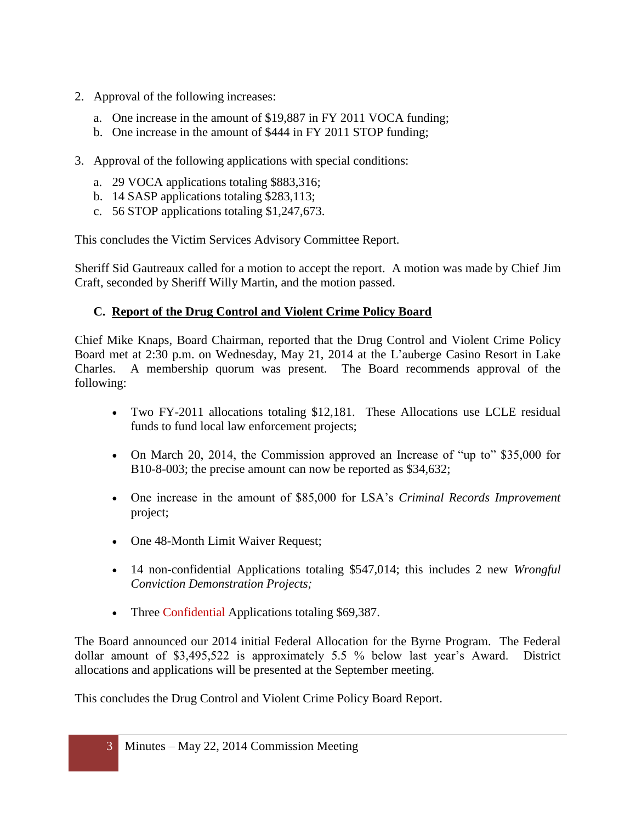- 2. Approval of the following increases:
	- a. One increase in the amount of \$19,887 in FY 2011 VOCA funding;
	- b. One increase in the amount of \$444 in FY 2011 STOP funding;
- 3. Approval of the following applications with special conditions:
	- a. 29 VOCA applications totaling \$883,316;
	- b. 14 SASP applications totaling \$283,113;
	- c. 56 STOP applications totaling \$1,247,673.

This concludes the Victim Services Advisory Committee Report.

Sheriff Sid Gautreaux called for a motion to accept the report. A motion was made by Chief Jim Craft, seconded by Sheriff Willy Martin, and the motion passed.

#### **C. Report of the Drug Control and Violent Crime Policy Board**

Chief Mike Knaps, Board Chairman, reported that the Drug Control and Violent Crime Policy Board met at 2:30 p.m. on Wednesday, May 21, 2014 at the L'auberge Casino Resort in Lake Charles. A membership quorum was present. The Board recommends approval of the following:

- Two FY-2011 allocations totaling \$12,181. These Allocations use LCLE residual funds to fund local law enforcement projects;
- On March 20, 2014, the Commission approved an Increase of "up to" \$35,000 for B10-8-003; the precise amount can now be reported as \$34,632;
- One increase in the amount of \$85,000 for LSA's *Criminal Records Improvement* project;
- One 48-Month Limit Waiver Request;
- 14 non-confidential Applications totaling \$547,014; this includes 2 new *Wrongful Conviction Demonstration Projects;*
- Three Confidential Applications totaling \$69,387.

The Board announced our 2014 initial Federal Allocation for the Byrne Program. The Federal dollar amount of \$3,495,522 is approximately 5.5 % below last year's Award. District allocations and applications will be presented at the September meeting.

This concludes the Drug Control and Violent Crime Policy Board Report.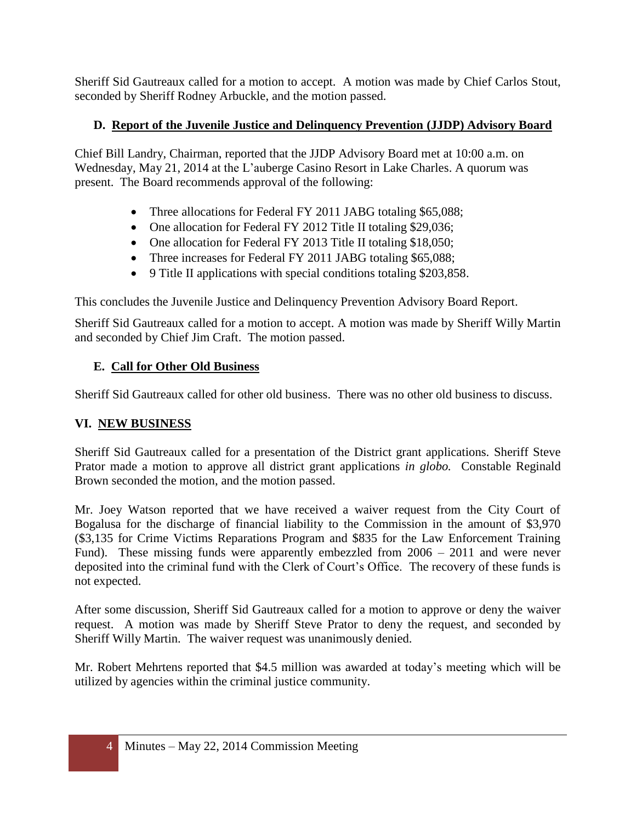Sheriff Sid Gautreaux called for a motion to accept. A motion was made by Chief Carlos Stout, seconded by Sheriff Rodney Arbuckle, and the motion passed.

## **D. Report of the Juvenile Justice and Delinquency Prevention (JJDP) Advisory Board**

Chief Bill Landry, Chairman, reported that the JJDP Advisory Board met at 10:00 a.m. on Wednesday, May 21, 2014 at the L'auberge Casino Resort in Lake Charles. A quorum was present. The Board recommends approval of the following:

- Three allocations for Federal FY 2011 JABG totaling \$65,088;
- One allocation for Federal FY 2012 Title II totaling \$29,036;
- One allocation for Federal FY 2013 Title II totaling \$18,050;
- Three increases for Federal FY 2011 JABG totaling \$65,088;
- 9 Title II applications with special conditions totaling \$203,858.

This concludes the Juvenile Justice and Delinquency Prevention Advisory Board Report.

Sheriff Sid Gautreaux called for a motion to accept. A motion was made by Sheriff Willy Martin and seconded by Chief Jim Craft. The motion passed.

## **E. Call for Other Old Business**

Sheriff Sid Gautreaux called for other old business. There was no other old business to discuss.

### **VI. NEW BUSINESS**

Sheriff Sid Gautreaux called for a presentation of the District grant applications. Sheriff Steve Prator made a motion to approve all district grant applications *in globo.* Constable Reginald Brown seconded the motion, and the motion passed.

Mr. Joey Watson reported that we have received a waiver request from the City Court of Bogalusa for the discharge of financial liability to the Commission in the amount of \$3,970 (\$3,135 for Crime Victims Reparations Program and \$835 for the Law Enforcement Training Fund). These missing funds were apparently embezzled from 2006 – 2011 and were never deposited into the criminal fund with the Clerk of Court's Office. The recovery of these funds is not expected.

After some discussion, Sheriff Sid Gautreaux called for a motion to approve or deny the waiver request. A motion was made by Sheriff Steve Prator to deny the request, and seconded by Sheriff Willy Martin. The waiver request was unanimously denied.

Mr. Robert Mehrtens reported that \$4.5 million was awarded at today's meeting which will be utilized by agencies within the criminal justice community.